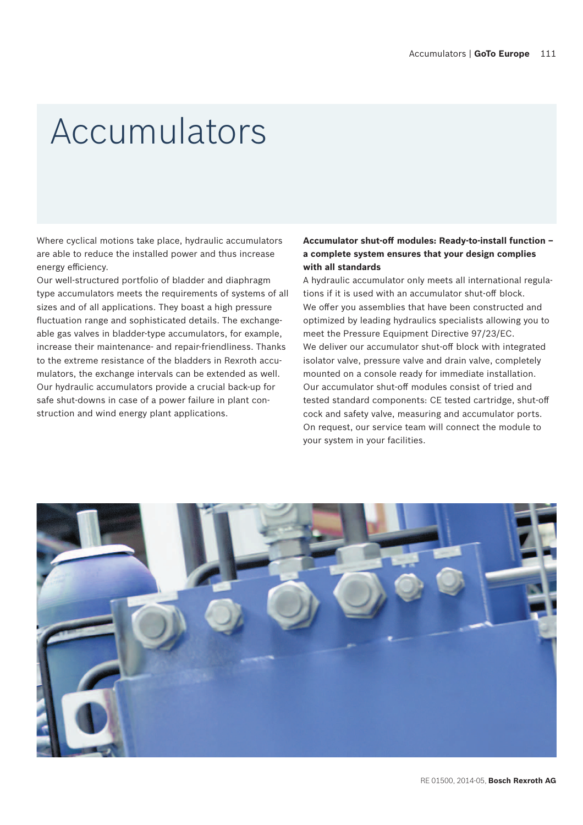## Accumulators

Where cyclical motions take place, hydraulic accumulators are able to reduce the installed power and thus increase energy efficiency.

Our well-structured portfolio of bladder and diaphragm type accumulators meets the requirements of systems of all sizes and of all applications. They boast a high pressure fluctuation range and sophisticated details. The exchangeable gas valves in bladder-type accumulators, for example, increase their maintenance- and repair-friendliness. Thanks to the extreme resistance of the bladders in Rexroth accumulators, the exchange intervals can be extended as well. Our hydraulic accumulators provide a crucial back-up for safe shut-downs in case of a power failure in plant construction and wind energy plant applications.

#### **Accumulator shut-off modules: Ready-to-install function – a complete system ensures that your design complies with all standards**

A hydraulic accumulator only meets all international regulations if it is used with an accumulator shut-off block. We offer you assemblies that have been constructed and optimized by leading hydraulics specialists allowing you to meet the Pressure Equipment Directive 97/23/EC. We deliver our accumulator shut-off block with integrated isolator valve, pressure valve and drain valve, completely mounted on a console ready for immediate installation. Our accumulator shut-off modules consist of tried and tested standard components: CE tested cartridge, shut-off cock and safety valve, measuring and accumulator ports. On request, our service team will connect the module to your system in your facilities.

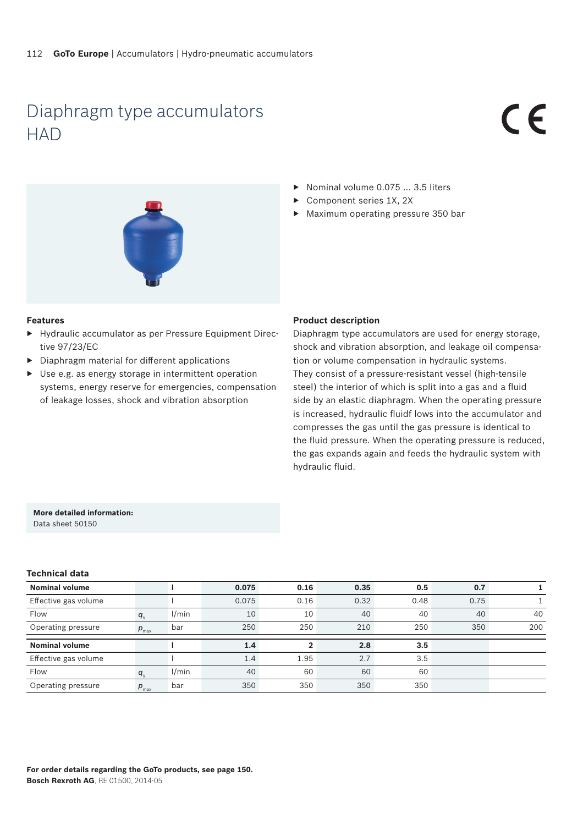### Diaphragm type accumulators **HAD**

# $\epsilon$



- ▶ Nominal volume 0.075 ... 3.5 liters
- Component series 1X, 2X
- ▶ Maximum operating pressure 350 bar

#### **Features**

- ▶ Hydraulic accumulator as per Pressure Equipment Directive 97/23/EC
- ▶ Diaphragm material for different applications
- $\triangleright$  Use e.g. as energy storage in intermittent operation systems, energy reserve for emergencies, compensation of leakage losses, shock and vibration absorption

#### **Product description**

Diaphragm type accumulators are used for energy storage, shock and vibration absorption, and leakage oil compensation or volume compensation in hydraulic systems. They consist of a pressure-resistant vessel (high-tensile steel) the interior of which is split into a gas and a fluid side by an elastic diaphragm. When the operating pressure is increased, hydraulic fluidf lows into the accumulator and compresses the gas until the gas pressure is identical to the fluid pressure. When the operating pressure is reduced, the gas expands again and feeds the hydraulic system with hydraulic fluid.

#### **More detailed information:**

Data sheet 50150

#### **Technical data**

| <b>Nominal volume</b> |                  |       | 0.075 | 0.16 | 0.35 | 0.5  | 0.7  |     |
|-----------------------|------------------|-------|-------|------|------|------|------|-----|
| Effective gas volume  |                  |       | 0.075 | 0.16 | 0.32 | 0.48 | 0.75 |     |
| Flow                  | $q_{v}$          | 1/min | 10    | 10   | 40   | 40   | 40   | 40  |
| Operating pressure    | $p_{\text{max}}$ | bar   | 250   | 250  | 210  | 250  | 350  | 200 |
| <b>Nominal volume</b> |                  |       | 1.4   |      | 2.8  | 3.5  |      |     |
| Effective gas volume  |                  |       | 1.4   | 1.95 | 2.7  | 3.5  |      |     |
| Flow                  | $q_{v}$          | 1/min | 40    | 60   | 60   | 60   |      |     |
| Operating pressure    | $p_{\text{max}}$ | bar   | 350   | 350  | 350  | 350  |      |     |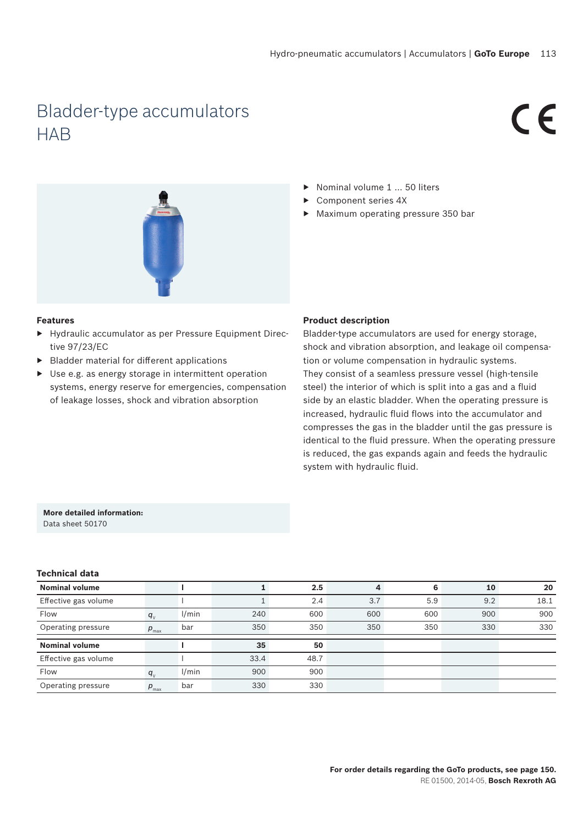## Bladder-type accumulators **HAB**

# $\epsilon$



#### **Features**

- ▶ Hydraulic accumulator as per Pressure Equipment Directive 97/23/EC
- ▶ Bladder material for different applications
- Use e.g. as energy storage in intermittent operation systems, energy reserve for emergencies, compensation of leakage losses, shock and vibration absorption

#### ▶ Nominal volume 1 ... 50 liters

- ▶ Component series 4X
- ▶ Maximum operating pressure 350 bar

#### **Product description**

Bladder-type accumulators are used for energy storage, shock and vibration absorption, and leakage oil compensation or volume compensation in hydraulic systems. They consist of a seamless pressure vessel (high-tensile steel) the interior of which is split into a gas and a fluid side by an elastic bladder. When the operating pressure is increased, hydraulic fluid flows into the accumulator and compresses the gas in the bladder until the gas pressure is identical to the fluid pressure. When the operating pressure is reduced, the gas expands again and feeds the hydraulic system with hydraulic fluid.

#### **More detailed information:** Data sheet 50170

#### **Technical data**

| <b>Nominal volume</b> |                  |       |      | 2.5  | 4   | 6   | 10  | 20   |
|-----------------------|------------------|-------|------|------|-----|-----|-----|------|
| Effective gas volume  |                  |       |      | 2.4  | 3.7 | 5.9 | 9.2 | 18.1 |
| Flow                  | $q_{\rm v}$      | 1/min | 240  | 600  | 600 | 600 | 900 | 900  |
| Operating pressure    | $p_{\text{max}}$ | bar   | 350  | 350  | 350 | 350 | 330 | 330  |
| <b>Nominal volume</b> |                  |       | 35   | 50   |     |     |     |      |
|                       |                  |       |      |      |     |     |     |      |
| Effective gas volume  |                  |       | 33.4 | 48.7 |     |     |     |      |
| Flow                  | $q_{\rm v}$      | 1/min | 900  | 900  |     |     |     |      |
| Operating pressure    | $p_{\text{max}}$ | bar   | 330  | 330  |     |     |     |      |